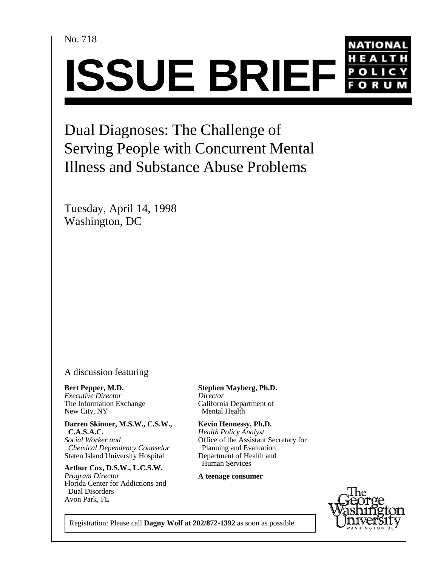No. 718



Dual Diagnoses: The Challenge of Serving People with Concurrent Mental Illness and Substance Abuse Problems

Tuesday, April 14, 1998 Washington, DC

A discussion featuring

**Bert Pepper, M.D.** *Executive Director Director*  The Information Exchange<br>
New City, NY **California Department of California Department of California Department of California** New City, NY

**Darren Skinner, M.S.W., C.S.W., Kevin Hennessy, Ph.D.**<br>C.A.S.A.C. *Health Policy Analyst* 

*Chemical Dependency Counselor* Staten Island University Hospital Department of Health and

 Human Services **Arthur Cox, D.S.W., L.C.S.W.** *Program Director* Florida Center for Addictions and Dual Disorders Avon Park, FL

**Stephen Mayberg, Ph.D.**

**Health Policy Analyst** *Social Worker and* **Office of the Assistant Secretary for** *Chemical Dependency Counselor* Planning and Evaluation

**A teenage consumer**



Registration: Please call **Dagny Wolf at 202/872-1392** as soon as possible.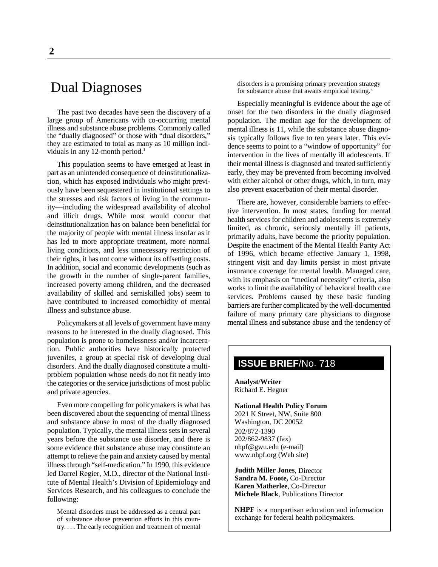# Dual Diagnoses

The past two decades have seen the discovery of a large group of Americans with co-occurring mental illness and substance abuse problems. Commonly called the "dually diagnosed" or those with "dual disorders," they are estimated to total as many as 10 million individuals in any 12-month period. $<sup>1</sup>$ </sup>

This population seems to have emerged at least in part as an unintended consequence of deinstitutionalization, which has exposed individuals who might previously have been sequestered in institutional settings to the stresses and risk factors of living in the community—including the widespread availability of alcohol and illicit drugs. While most would concur that deinstitutionalization has on balance been beneficial for the majority of people with mental illness insofar as it has led to more appropriate treatment, more normal living conditions, and less unnecessary restriction of their rights, it has not come without its offsetting costs. In addition, social and economic developments (such as the growth in the number of single-parent families, increased poverty among children, and the decreased availability of skilled and semiskilled jobs) seem to have contributed to increased comorbidity of mental illness and substance abuse.

Policymakers at all levels of government have many reasons to be interested in the dually diagnosed. This population is prone to homelessness and/or incarceration. Public authorities have historically protected juveniles, a group at special risk of developing dual disorders. And the dually diagnosed constitute a multiproblem population whose needs do not fit neatly into the categories or the service jurisdictions of most public and private agencies.

Even more compelling for policymakers is what has been discovered about the sequencing of mental illness and substance abuse in most of the dually diagnosed population. Typically, the mental illness sets in several years before the substance use disorder, and there is some evidence that substance abuse may constitute an attempt to relieve the pain and anxiety caused by mental illness through "self-medication." In 1990, this evidence led Darrel Regier, M.D., director of the National Institute of Mental Health's Division of Epidemiology and Services Research, and his colleagues to conclude the following:

Mental disorders must be addressed as a central part of substance abuse prevention efforts in this country. . . . The early recognition and treatment of mental

disorders is a promising primary prevention strategy for substance abuse that awaits empirical testing.<sup>2</sup>

Especially meaningful is evidence about the age of onset for the two disorders in the dually diagnosed population. The median age for the development of mental illness is 11, while the substance abuse diagnosis typically follows five to ten years later. This evidence seems to point to a "window of opportunity" for intervention in the lives of mentally ill adolescents. If their mental illness is diagnosed and treated sufficiently early, they may be prevented from becoming involved with either alcohol or other drugs, which, in turn, may also prevent exacerbation of their mental disorder.

There are, however, considerable barriers to effective intervention. In most states, funding for mental health services for children and adolescents is extremely limited, as chronic, seriously mentally ill patients, primarily adults, have become the priority population. Despite the enactment of the Mental Health Parity Act of 1996, which became effective January 1, 1998, stringent visit and day limits persist in most private insurance coverage for mental health. Managed care, with its emphasis on "medical necessity" criteria, also works to limit the availability of behavioral health care services. Problems caused by these basic funding barriers are further complicated by the well-documented failure of many primary care physicians to diagnose mental illness and substance abuse and the tendency of

## **ISSUE BRIEF**/No. 718

**Analyst/Writer** Richard E. Hegner

#### **National Health Policy Forum** 2021 K Street, NW, Suite 800 Washington, DC 20052 202/872-1390 202/862-9837 (fax)

nhpf@gwu.edu (e-mail) www.nhpf.org (Web site)

**Judith Miller Jones**, Director **Sandra M. Foote,** Co-Director **Karen Matherlee**, Co-Director **Michele Black**, Publications Director

**NHPF** is a nonpartisan education and information exchange for federal health policymakers.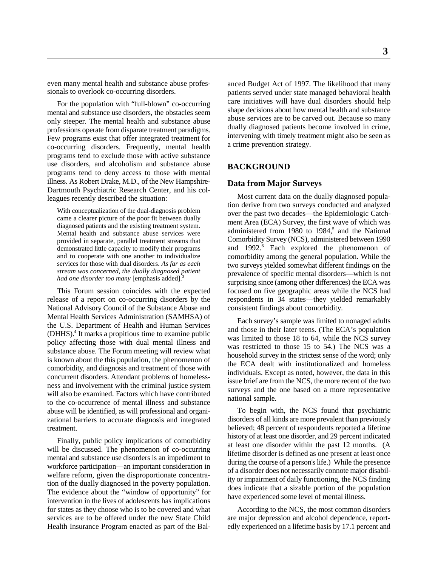even many mental health and substance abuse professionals to overlook co-occurring disorders.

For the population with "full-blown" co-occurring mental and substance use disorders, the obstacles seem only steeper. The mental health and substance abuse professions operate from disparate treatment paradigms. Few programs exist that offer integrated treatment for co-occurring disorders. Frequently, mental health programs tend to exclude those with active substance use disorders, and alcoholism and substance abuse programs tend to deny access to those with mental illness. As Robert Drake, M.D., of the New Hampshire-Dartmouth Psychiatric Research Center, and his colleagues recently described the situation:

With conceptualization of the dual-diagnosis problem came a clearer picture of the poor fit between dually diagnosed patients and the existing treatment system. Mental health and substance abuse services were provided in separate, parallel treatment streams that demonstrated little capacity to modify their programs and to cooperate with one another to individualize services for those with dual disorders. *As far as each stream was concerned, the dually diagnosed patient had one disorder too many* [emphasis added].3

release of a report on co-occurring disorders by the respondents in 34 states—they yielded remarkably National Advisory Council of the Substance Abuse and consistent findings about comorbidity. Mental Health Services Administration (SAMHSA) of the U.S. Department of Health and Human Services  $(DHHS)<sup>4</sup>$  It marks a propitious time to examine public policy affecting those with dual mental illness and substance abuse. The Forum meeting will review what is known about the this population, the phenomenon of comorbidity, and diagnosis and treatment of those with concurrent disorders. Attendant problems of homelessness and involvement with the criminal justice system will also be examined. Factors which have contributed to the co-occurrence of mental illness and substance abuse will be identified, as will professional and organizational barriers to accurate diagnosis and integrated treatment.

Finally, public policy implications of comorbidity will be discussed. The phenomenon of co-occurring mental and substance use disorders is an impediment to workforce participation—an important consideration in welfare reform, given the disproportionate concentration of the dually diagnosed in the poverty population. The evidence about the "window of opportunity" for intervention in the lives of adolescents has implications for states as they choose who is to be covered and what According to the NCS, the most common disorders

anced Budget Act of 1997. The likelihood that many patients served under state managed behavioral health care initiatives will have dual disorders should help shape decisions about how mental health and substance abuse services are to be carved out. Because so many dually diagnosed patients become involved in crime, intervening with timely treatment might also be seen as a crime prevention strategy.

#### **BACKGROUND**

#### **Data from Major Surveys**

This Forum session coincides with the expected focused on five geographic areas while the NCS had Most current data on the dually diagnosed population derive from two surveys conducted and analyzed over the past two decades—the Epidemiologic Catchment Area (ECA) Survey, the first wave of which was administered from 1980 to 1984,<sup>5</sup> and the National Comorbidity Survey (NCS), administered between 1990 and 1992.<sup>6</sup> Each explored the phenomenon of comorbidity among the general population. While the two surveys yielded somewhat different findings on the prevalence of specific mental disorders—which is not surprising since (among other differences) the ECA was

> Each survey's sample was limited to nonaged adults and those in their later teens. (The ECA's population was limited to those 18 to 64, while the NCS survey was restricted to those 15 to 54.) The NCS was a household survey in the strictest sense of the word; only the ECA dealt with institutionalized and homeless individuals. Except as noted, however, the data in this issue brief are from the NCS, the more recent of the two surveys and the one based on a more representative national sample.

> To begin with, the NCS found that psychiatric disorders of all kinds are more prevalent than previously believed; 48 percent of respondents reported a lifetime history of at least one disorder, and 29 percent indicated at least one disorder within the past 12 months. (A lifetime disorder is defined as one present at least once during the course of a person's life.) While the presence of a disorder does not necessarily connote major disability or impairment of daily functioning, the NCS finding does indicate that a sizable portion of the population have experienced some level of mental illness.

services are to be offered under the new State Child are major depression and alcohol dependence, report-Health Insurance Program enacted as part of the Bal- edly experienced on a lifetime basis by 17.1 percent and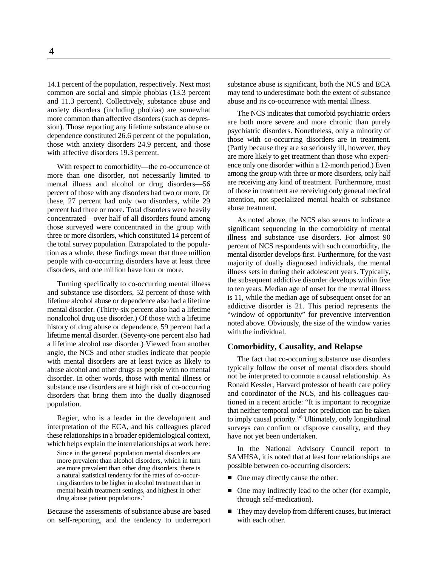common are social and simple phobias (13.3 percent may tend to underestimate both the extent of substance and 11.3 percent). Collectively, substance abuse and abuse and its co-occurrence with mental illness. anxiety disorders (including phobias) are somewhat more common than affective disorders (such as depression). Those reporting any lifetime substance abuse or dependence constituted 26.6 percent of the population, those with anxiety disorders 24.9 percent, and those with affective disorders 19.3 percent.

With respect to comorbidity—the co-occurrence of more than one disorder, not necessarily limited to mental illness and alcohol or drug disorders—56 percent of those with any disorders had two or more. Of these, 27 percent had only two disorders, while 29 percent had three or more. Total disorders were heavily concentrated—over half of all disorders found among those surveyed were concentrated in the group with three or more disorders, which constituted 14 percent of the total survey population. Extrapolated to the population as a whole, these findings mean that three million people with co-occurring disorders have at least three disorders, and one million have four or more.

Turning specifically to co-occurring mental illness and substance use disorders, 52 percent of those with lifetime alcohol abuse or dependence also had a lifetime mental disorder. (Thirty-six percent also had a lifetime nonalcohol drug use disorder.) Of those with a lifetime history of drug abuse or dependence, 59 percent had a lifetime mental disorder. (Seventy-one percent also had a lifetime alcohol use disorder.) Viewed from another angle, the NCS and other studies indicate that people with mental disorders are at least twice as likely to abuse alcohol and other drugs as people with no mental disorder. In other words, those with mental illness or substance use disorders are at high risk of co-occurring disorders that bring them into the dually diagnosed population.

Regier, who is a leader in the development and interpretation of the ECA, and his colleagues placed these relationships in a broader epidemiological context, which helps explain the interrelationships at work here:

Since in the general population mental disorders are more prevalent than alcohol disorders, which in turn are more prevalent than other drug disorders, there is a natural statistical tendency for the rates of co-occurring disorders to be higher in alcohol treatment than in mental health treatment settings, and highest in other drug abuse patient populations.<sup>7</sup>

Because the assessments of substance abuse are based on self-reporting, and the tendency to underreport

14.1 percent of the population, respectively. Next most substance abuse is significant, both the NCS and ECA

The NCS indicates that comorbid psychiatric orders are both more severe and more chronic than purely psychiatric disorders. Nonetheless, only a minority of those with co-occurring disorders are in treatment. (Partly because they are so seriously ill, however, they are more likely to get treatment than those who experience only one disorder within a 12-month period.) Even among the group with three or more disorders, only half are receiving any kind of treatment. Furthermore, most of those in treatment are receiving only general medical attention, not specialized mental health or substance abuse treatment.

As noted above, the NCS also seems to indicate a significant sequencing in the comorbidity of mental illness and substance use disorders. For almost 90 percent of NCS respondents with such comorbidity, the mental disorder develops first. Furthermore, for the vast majority of dually diagnosed individuals, the mental illness sets in during their adolescent years. Typically, the subsequent addictive disorder develops within five to ten years. Median age of onset for the mental illness is 11, while the median age of subsequent onset for an addictive disorder is 21. This period represents the "window of opportunity" for preventive intervention noted above. Obviously, the size of the window varies with the individual.

#### **Comorbidity, Causality, and Relapse**

The fact that co-occurring substance use disorders typically follow the onset of mental disorders should not be interpreted to connote a causal relationship. As Ronald Kessler, Harvard professor of health care policy and coordinator of the NCS, and his colleagues cautioned in a recent article: "It is important to recognize that neither temporal order nor prediction can be taken to imply causal priority."<sup>8</sup> Ultimately, only longitudinal surveys can confirm or disprove causality, and they have not yet been undertaken.

In the National Advisory Council report to SAMHSA, it is noted that at least four relationships are possible between co-occurring disorders:

- One may directly cause the other.
- One may indirectly lead to the other (for example, through self-medication).
- They may develop from different causes, but interact with each other.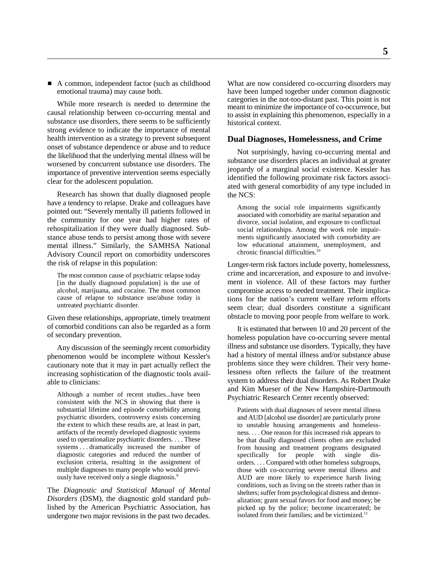While more research is needed to determine the causal relationship between co-occurring mental and substance use disorders, there seems to be sufficiently strong evidence to indicate the importance of mental health intervention as a strategy to prevent subsequent onset of substance dependence or abuse and to reduce the likelihood that the underlying mental illness will be worsened by concurrent substance use disorders. The importance of preventive intervention seems especially clear for the adolescent population.

Research has shown that dually diagnosed people have a tendency to relapse. Drake and colleagues have pointed out: "Severely mentally ill patients followed in the community for one year had higher rates of rehospitalization if they were dually diagnosed. Substance abuse tends to persist among those with severe mental illness." Similarly, the SAMHSA National Advisory Council report on comorbidity underscores the risk of relapse in this population:

The most common cause of psychiatric relapse today [in the dually diagnosed population] is the use of alcohol, marijuana, and cocaine. The most common cause of relapse to substance use/abuse today is untreated psychiatric disorder.

Given these relationships, appropriate, timely treatment of comorbid conditions can also be regarded as a form of secondary prevention.

Any discussion of the seemingly recent comorbidity phenomenon would be incomplete without Kessler's cautionary note that it may in part actually reflect the increasing sophistication of the diagnostic tools available to clinicians:

Although a number of recent studies...have been consistent with the NCS in showing that there is substantial lifetime and episode comorbidity among psychiatric disorders, controversy exists concerning the extent to which these results are, at least in part, artifacts of the recently developed diagnostic systems used to operationalize psychiatric disorders. . . . These systems . . . dramatically increased the number of diagnostic categories and reduced the number of exclusion criteria, resulting in the assignment of multiple diagnoses to many people who would previously have received only a single diagnosis.9

The *Diagnostic and Statistical Manual of Mental Disorders* (DSM), the diagnostic gold standard published by the American Psychiatric Association, has undergone two major revisions in the past two decades.

A common, independent factor (such as childhood What are now considered co-occurring disorders may emotional trauma) may cause both. have been lumped together under common diagnostic categories in the not-too-distant past. This point is not meant to minimize the importance of co-occurrence, but to assist in explaining this phenomenon, especially in a historical context.

#### **Dual Diagnoses, Homelessness, and Crime**

Not surprisingly, having co-occurring mental and substance use disorders places an individual at greater jeopardy of a marginal social existence. Kessler has identified the following proximate risk factors associated with general comorbidity of any type included in the NCS:

Among the social role impairments significantly associated with comorbidity are marital separation and divorce, social isolation, and exposure to conflictual social relationships. Among the work role impairments significantly associated with comorbidity are low educational attainment, unemployment, and chronic financial difficulties.<sup>10</sup>

Longer-term risk factors include poverty, homelessness, crime and incarceration, and exposure to and involvement in violence. All of these factors may further compromise access to needed treatment. Their implications for the nation's current welfare reform efforts seem clear; dual disorders constitute a significant obstacle to moving poor people from welfare to work.

It is estimated that between 10 and 20 percent of the homeless population have co-occurring severe mental illness and substance use disorders. Typically, they have had a history of mental illness and/or substance abuse problems since they were children. Their very homelessness often reflects the failure of the treatment system to address their dual disorders. As Robert Drake and Kim Mueser of the New Hampshire-Dartmouth Psychiatric Research Center recently observed:

Patients with dual diagnoses of severe mental illness and AUD [alcohol use disorder] are particularly prone to unstable housing arrangements and homelessness. . . . One reason for this increased risk appears to be that dually diagnosed clients often are excluded from housing and treatment programs designated specifically for people with single disorders. . . . Compared with other homeless subgroups, those with co-occurring severe mental illness and AUD are more likely to experience harsh living conditions, such as living on the streets rather than in shelters; suffer from psychological distress and demoralization; grant sexual favors for food and money; be picked up by the police; become incarcerated; be isolated from their families; and be victimized.<sup>11</sup>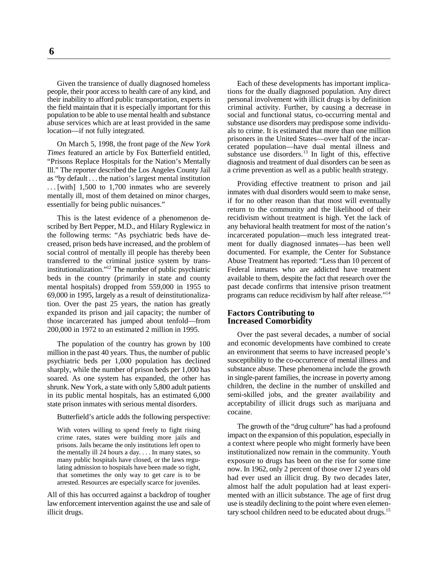people, their poor access to health care of any kind, and their inability to afford public transportation, experts in personal involvement with illicit drugs is by definition the field maintain that it is especially important for this criminal activity. Further, by causing a decrease in population to be able to use mental health and substance social and functional status, co-occurring mental and abuse services which are at least provided in the same substance use disorders may predispose some individulocation—if not fully integrated. als to crime. It is estimated that more than one million

On March 5, 1998, the front page of the *New York Times* featured an article by Fox Butterfield entitled, "Prisons Replace Hospitals for the Nation's Mentally Ill." The reporter described the Los Angeles County Jail as "by default . . . the nation's largest mental institution . . . [with] 1,500 to 1,700 inmates who are severely mentally ill, most of them detained on minor charges, essentially for being public nuisances."

This is the latest evidence of a phenomenon described by Bert Pepper, M.D., and Hilary Ryglewicz in the following terms: "As psychiatric beds have decreased, prison beds have increased, and the problem of social control of mentally ill people has thereby been transferred to the criminal justice system by transinstitutionalization."<sup> $12$ </sup> The number of public psychiatric beds in the country (primarily in state and county mental hospitals) dropped from 559,000 in 1955 to 69,000 in 1995, largely as a result of deinstitutionalization. Over the past 25 years, the nation has greatly expanded its prison and jail capacity; the number of those incarcerated has jumped about tenfold—from 200,000 in 1972 to an estimated 2 million in 1995.

The population of the country has grown by 100 million in the past 40 years. Thus, the number of public psychiatric beds per 1,000 population has declined sharply, while the number of prison beds per 1,000 has soared. As one system has expanded, the other has shrunk. New York, a state with only 5,800 adult patients in its public mental hospitals, has an estimated 6,000 state prison inmates with serious mental disorders.

Butterfield's article adds the following perspective:

With voters willing to spend freely to fight rising crime rates, states were building more jails and prisons. Jails became the only institutions left open to the mentally ill 24 hours a day. . . . In many states, so many public hospitals have closed, or the laws regulating admission to hospitals have been made so tight, that sometimes the only way to get care is to be arrested. Resources are especially scarce for juveniles.

All of this has occurred against a backdrop of tougher law enforcement intervention against the use and sale of illicit drugs.

Given the transience of dually diagnosed homeless Each of these developments has important implica-<br>pple, their poor access to health care of any kind, and tions for the dually diagnosed population. Any direct prisoners in the United States—over half of the incarcerated population—have dual mental illness and substance use disorders.<sup>13</sup> In light of this, effective diagnosis and treatment of dual disorders can be seen as a crime prevention as well as a public health strategy.

> Providing effective treatment to prison and jail inmates with dual disorders would seem to make sense, if for no other reason than that most will eventually return to the community and the likelihood of their recidivism without treatment is high. Yet the lack of any behavioral health treatment for most of the nation's incarcerated population—much less integrated treatment for dually diagnosed inmates—has been well documented. For example, the Center for Substance Abuse Treatment has reported: "Less than 10 percent of Federal inmates who are addicted have treatment available to them, despite the fact that research over the past decade confirms that intensive prison treatment programs can reduce recidivism by half after release."14

#### **Factors Contributing to Increased Comorbidity**

Over the past several decades, a number of social and economic developments have combined to create an environment that seems to have increased people's susceptibility to the co-occurrence of mental illness and substance abuse. These phenomena include the growth in single-parent families, the increase in poverty among children, the decline in the number of unskilled and semi-skilled jobs, and the greater availability and acceptability of illicit drugs such as marijuana and cocaine.

The growth of the "drug culture" has had a profound impact on the expansion of this population, especially in a context where people who might formerly have been institutionalized now remain in the community. Youth exposure to drugs has been on the rise for some time now. In 1962, only 2 percent of those over 12 years old had ever used an illicit drug. By two decades later, almost half the adult population had at least experimented with an illicit substance. The age of first drug use is steadily declining to the point where even elementary school children need to be educated about drugs.<sup>15</sup>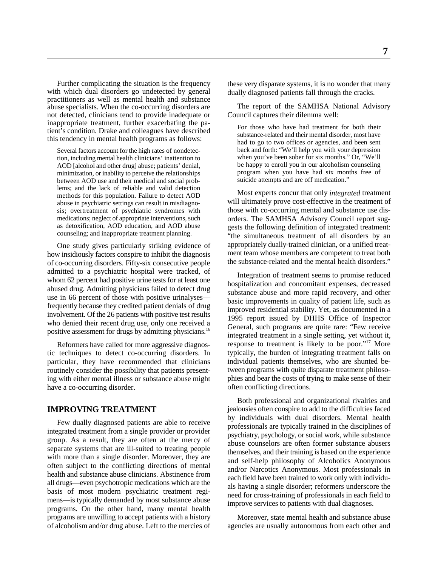Further complicating the situation is the frequency with which dual disorders go undetected by general practitioners as well as mental health and substance abuse specialists. When the co-occurring disorders are not detected, clinicians tend to provide inadequate or inappropriate treatment, further exacerbating the patient's condition. Drake and colleagues have described this tendency in mental health programs as follows:

Several factors account for the high rates of nondetection, including mental health clinicians' inattention to AOD [alcohol and other drug] abuse; patients' denial, minimization, or inability to perceive the relationships between AOD use and their medical and social problems; and the lack of reliable and valid detection methods for this population. Failure to detect AOD abuse in psychiatric settings can result in misdiagnosis; overtreatment of psychiatric syndromes with medications; neglect of appropriate interventions, such as detoxification, AOD education, and AOD abuse counseling; and inappropriate treatment planning.

One study gives particularly striking evidence of how insidiously factors conspire to inhibit the diagnosis of co-occurring disorders. Fifty-six consecutive people admitted to a psychiatric hospital were tracked, of whom 62 percent had positive urine tests for at least one abused drug. Admitting physicians failed to detect drug use in 66 percent of those with positive urinalyses frequently because they credited patient denials of drug involvement. Of the 26 patients with positive test results who denied their recent drug use, only one received a positive assessment for drugs by admitting physicians.16

Reformers have called for more aggressive diagnostic techniques to detect co-occurring disorders. In particular, they have recommended that clinicians routinely consider the possibility that patients presenting with either mental illness or substance abuse might have a co-occurring disorder.

### **IMPROVING TREATMENT**

Few dually diagnosed patients are able to receive integrated treatment from a single provider or provider group. As a result, they are often at the mercy of separate systems that are ill-suited to treating people with more than a single disorder. Moreover, they are often subject to the conflicting directions of mental health and substance abuse clinicians. Abstinence from all drugs—even psychotropic medications which are the basis of most modern psychiatric treatment regimens—is typically demanded by most substance abuse programs. On the other hand, many mental health programs are unwilling to accept patients with a history of alcoholism and/or drug abuse. Left to the mercies of these very disparate systems, it is no wonder that many dually diagnosed patients fall through the cracks.

The report of the SAMHSA National Advisory Council captures their dilemma well:

For those who have had treatment for both their substance-related and their mental disorder, most have had to go to two offices or agencies, and been sent back and forth: "We'll help you with your depression when you've been sober for six months." Or, "We'll be happy to enroll you in our alcoholism counseling program when you have had six months free of suicide attempts and are off medication."

Most experts concur that only *integrated* treatment will ultimately prove cost-effective in the treatment of those with co-occurring mental and substance use disorders. The SAMHSA Advisory Council report suggests the following definition of integrated treatment: "the simultaneous treatment of all disorders by an appropriately dually-trained clinician, or a unified treatment team whose members are competent to treat both the substance-related and the mental health disorders."

Integration of treatment seems to promise reduced hospitalization and concomitant expenses, decreased substance abuse and more rapid recovery, and other basic improvements in quality of patient life, such as improved residential stability. Yet, as documented in a 1995 report issued by DHHS Office of Inspector General, such programs are quite rare: "Few receive integrated treatment in a single setting, yet without it, response to treatment is likely to be poor."<sup>17</sup> More typically, the burden of integrating treatment falls on individual patients themselves, who are shunted between programs with quite disparate treatment philosophies and bear the costs of trying to make sense of their often conflicting directions.

Both professional and organizational rivalries and jealousies often conspire to add to the difficulties faced by individuals with dual disorders. Mental health professionals are typically trained in the disciplines of psychiatry, psychology, or social work, while substance abuse counselors are often former substance abusers themselves, and their training is based on the experience and self-help philosophy of Alcoholics Anonymous and/or Narcotics Anonymous. Most professionals in each field have been trained to work only with individuals having a single disorder; reformers underscore the need for cross-training of professionals in each field to improve services to patients with dual diagnoses.

Moreover, state mental health and substance abuse agencies are usually autonomous from each other and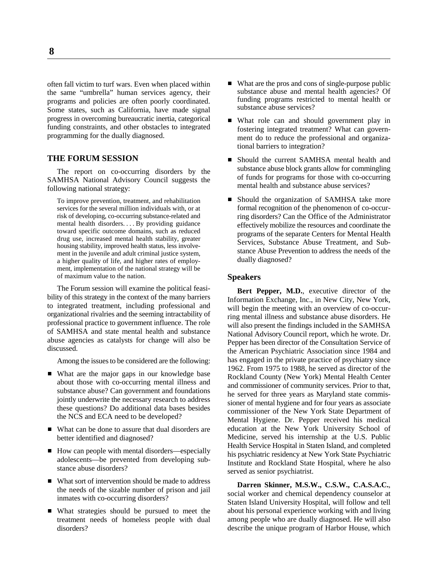often fall victim to turf wars. Even when placed within the same "umbrella" human services agency, their programs and policies are often poorly coordinated. Some states, such as California, have made signal progress in overcoming bureaucratic inertia, categorical funding constraints, and other obstacles to integrated programming for the dually diagnosed.

#### **THE FORUM SESSION**

The report on co-occurring disorders by the SAMHSA National Advisory Council suggests the following national strategy:

To improve prevention, treatment, and rehabilitation services for the several million individuals with, or at risk of developing, co-occurring substance-related and mental health disorders. . . . By providing guidance toward specific outcome domains, such as reduced drug use, increased mental health stability, greater housing stability, improved health status, less involvement in the juvenile and adult criminal justice system. a higher quality of life, and higher rates of employment, implementation of the national strategy will be of maximum value to the nation.

The Forum session will examine the political feasibility of this strategy in the context of the many barriers to integrated treatment, including professional and organizational rivalries and the seeming intractability of professional practice to government influence. The role of SAMHSA and state mental health and substance abuse agencies as catalysts for change will also be discussed.

Among the issues to be considered are the following:

- What are the major gaps in our knowledge base about those with co-occurring mental illness and substance abuse? Can government and foundations jointly underwrite the necessary research to address these questions? Do additional data bases besides the NCS and ECA need to be developed?
- What can be done to assure that dual disorders are better identified and diagnosed?
- How can people with mental disorders—especially adolescents—be prevented from developing substance abuse disorders?
- What sort of intervention should be made to address the needs of the sizable number of prison and jail inmates with co-occurring disorders?
- What strategies should be pursued to meet the treatment needs of homeless people with dual disorders?
- What are the pros and cons of single-purpose public substance abuse and mental health agencies? Of funding programs restricted to mental health or substance abuse services?
- What role can and should government play in fostering integrated treatment? What can government do to reduce the professional and organizational barriers to integration?
- Should the current SAMHSA mental health and substance abuse block grants allow for commingling of funds for programs for those with co-occurring mental health and substance abuse services?
- Should the organization of SAMHSA take more formal recognition of the phenomenon of co-occurring disorders? Can the Office of the Administrator effectively mobilize the resources and coordinate the programs of the separate Centers for Mental Health Services, Substance Abuse Treatment, and Substance Abuse Prevention to address the needs of the dually diagnosed?

#### **Speakers**

**Bert Pepper, M.D.**, executive director of the Information Exchange, Inc., in New City, New York, will begin the meeting with an overview of co-occurring mental illness and substance abuse disorders. He will also present the findings included in the SAMHSA National Advisory Council report, which he wrote. Dr. Pepper has been director of the Consultation Service of the American Psychiatric Association since 1984 and has engaged in the private practice of psychiatry since 1962. From 1975 to 1988, he served as director of the Rockland County (New York) Mental Health Center and commissioner of community services. Prior to that, he served for three years as Maryland state commissioner of mental hygiene and for four years as associate commissioner of the New York State Department of Mental Hygiene. Dr. Pepper received his medical education at the New York University School of Medicine, served his internship at the U.S. Public Health Service Hospital in Staten Island, and completed his psychiatric residency at New York State Psychiatric Institute and Rockland State Hospital, where he also served as senior psychiatrist.

**Darren Skinner, M.S.W., C.S.W., C.A.S.A.C.**, social worker and chemical dependency counselor at Staten Island University Hospital, will follow and tell about his personal experience working with and living among people who are dually diagnosed. He will also describe the unique program of Harbor House, which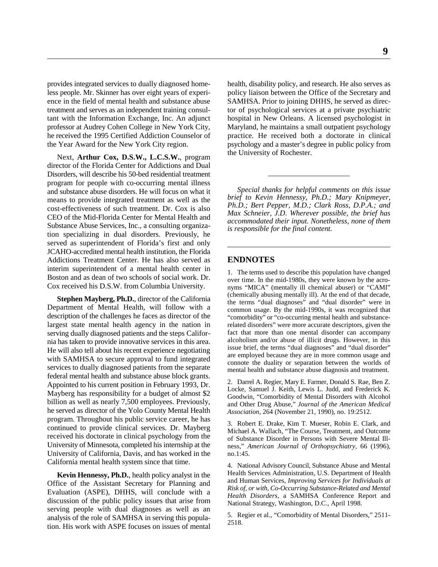Next, **Arthur Cox, D.S.W., L.C.S.W.**, program director of the Florida Center for Addictions and Dual Disorders, will describe his 50-bed residential treatment program for people with co-occurring mental illness and substance abuse disorders. He will focus on what it means to provide integrated treatment as well as the cost-effectiveness of such treatment. Dr. Cox is also CEO of the Mid-Florida Center for Mental Health and Substance Abuse Services, Inc., a consulting organization specializing in dual disorders. Previously, he served as superintendent of Florida's first and only JCAHO-accredited mental health institution, the Florida Addictions Treatment Center. He has also served as **ENDNOTES** interim superintendent of a mental health center in Boston and as dean of two schools of social work. Dr. Cox received his D.S.W. from Columbia University.

**Stephen Mayberg, Ph.D.**, director of the California Department of Mental Health, will follow with a description of the challenges he faces as director of the largest state mental health agency in the nation in serving dually diagnosed patients and the steps California has taken to provide innovative services in this area. He will also tell about his recent experience negotiating with SAMHSA to secure approval to fund integrated services to dually diagnosed patients from the separate federal mental health and substance abuse block grants. Appointed to his current position in February 1993, Dr. Mayberg has responsibility for a budget of almost \$2 billion as well as nearly 7,500 employees. Previously, he served as director of the Yolo County Mental Health program. Throughout his public service career, he has continued to provide clinical services. Dr. Mayberg received his doctorate in clinical psychology from the University of Minnesota, completed his internship at the University of California, Davis, and has worked in the California mental health system since that time.

**Kevin Hennessy, Ph.D.**, health policy analyst in the Office of the Assistant Secretary for Planning and Evaluation (ASPE), DHHS, will conclude with a discussion of the public policy issues that arise from serving people with dual diagnoses as well as an analysis of the role of SAMHSA in serving this population. His work with ASPE focuses on issues of mental

provides integrated services to dually diagnosed home- health, disability policy, and research. He also serves as less people. Mr. Skinner has over eight years of experi- policy liaison between the Office of the Secretary and ence in the field of mental health and substance abuse SAMHSA. Prior to joining DHHS, he served as directreatment and serves as an independent training consul- tor of psychological services at a private psychiatric tant with the Information Exchange, Inc. An adjunct hospital in New Orleans. A licensed psychologist in professor at Audrey Cohen College in New York City, Maryland, he maintains a small outpatient psychology he received the 1995 Certified Addiction Counselor of practice. He received both a doctorate in clinical the Year Award for the New York City region. psychology and a master's degree in public policy from the University of Rochester.

> *Special thanks for helpful comments on this issue brief to Kevin Hennessy, Ph.D.; Mary Knipmeyer, Ph.D.; Bert Pepper, M.D.; Clark Ross, D.P.A.; and Max Schneier, J.D. Wherever possible, the brief has accommodated their input. Nonetheless, none of them is responsible for the final content.*

1. The terms used to describe this population have changed over time. In the mid-1980s, they were known by the acronyms "MICA" (mentally ill chemical abuser) or "CAMI" (chemically abusing mentally ill). At the end of that decade, the terms "dual diagnoses" and "dual disorder" were in common usage. By the mid-1990s, it was recognized that "comorbidity" or "co-occurring mental health and substancerelated disorders" were more accurate descriptors, given the fact that more than one mental disorder can accompany alcoholism and/or abuse of illicit drugs. However, in this issue brief, the terms "dual diagnoses" and "dual disorder" are employed because they are in more common usage and connote the duality or separation between the worlds of mental health and substance abuse diagnosis and treatment.

2. Darrel A. Regier, Mary E. Farmer, Donald S. Rae, Ben Z. Locke, Samuel J. Keith, Lewis L. Judd, and Frederick K. Goodwin, "Comorbidity of Mental Disorders with Alcohol and Other Drug Abuse," *Journal of the American Medical Association,* 264 (November 21, 1990), no. 19:2512.

3. Robert E. Drake, Kim T. Mueser, Robin E. Clark, and Michael A. Wallach, "The Course, Treatment, and Outcome of Substance Disorder in Persons with Severe Mental Illness," *American Journal of Orthopsychiatry*, 66 (1996), no.1:45.

4. National Advisory Council, Substance Abuse and Mental Health Services Administration, U.S. Department of Health and Human Services, *Improving Services for Individuals at Risk of, or with, Co-Occurring Substance-Related and Mental Health Disorders*, a SAMHSA Conference Report and National Strategy, Washington, D.C., April 1998.

5. Regier et al., "Comorbidity of Mental Disorders," 2511- 2518.